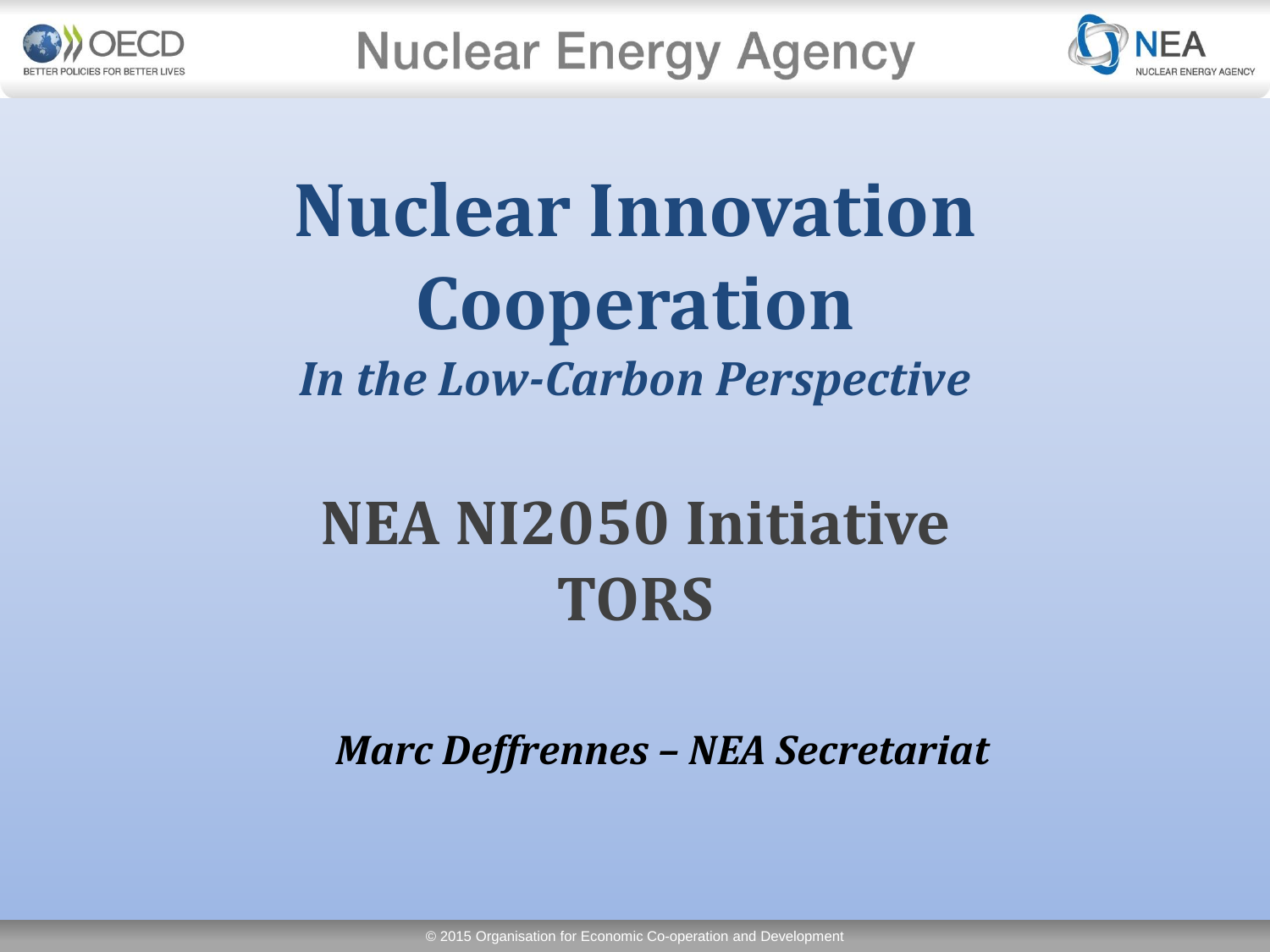



# **Nuclear Innovation Cooperation**  *In the Low-Carbon Perspective*

# **NEA NI2050 Initiative TORS**

*Marc Deffrennes – NEA Secretariat*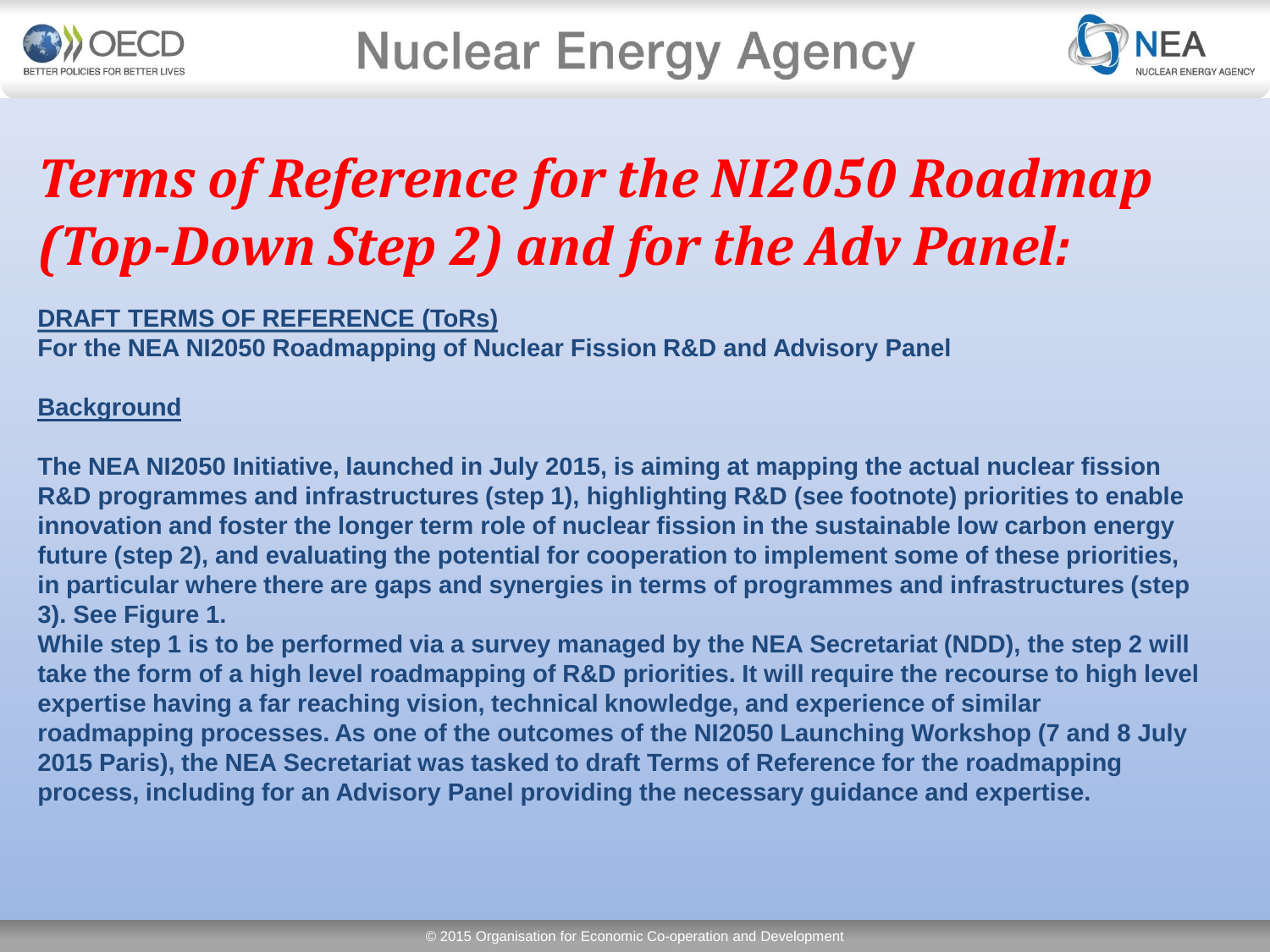



## *Terms of Reference for the NI2050 Roadmap (Top-Down Step 2) and for the Adv Panel:*

### **DRAFT TERMS OF REFERENCE (ToRs)**

**For the NEA NI2050 Roadmapping of Nuclear Fission R&D and Advisory Panel**

### **Background**

**The NEA NI2050 Initiative, launched in July 2015, is aiming at mapping the actual nuclear fission R&D programmes and infrastructures (step 1), highlighting R&D (see footnote) priorities to enable innovation and foster the longer term role of nuclear fission in the sustainable low carbon energy future (step 2), and evaluating the potential for cooperation to implement some of these priorities, in particular where there are gaps and synergies in terms of programmes and infrastructures (step 3). See Figure 1.**

**While step 1 is to be performed via a survey managed by the NEA Secretariat (NDD), the step 2 will take the form of a high level roadmapping of R&D priorities. It will require the recourse to high level expertise having a far reaching vision, technical knowledge, and experience of similar roadmapping processes. As one of the outcomes of the NI2050 Launching Workshop (7 and 8 July 2015 Paris), the NEA Secretariat was tasked to draft Terms of Reference for the roadmapping process, including for an Advisory Panel providing the necessary guidance and expertise.**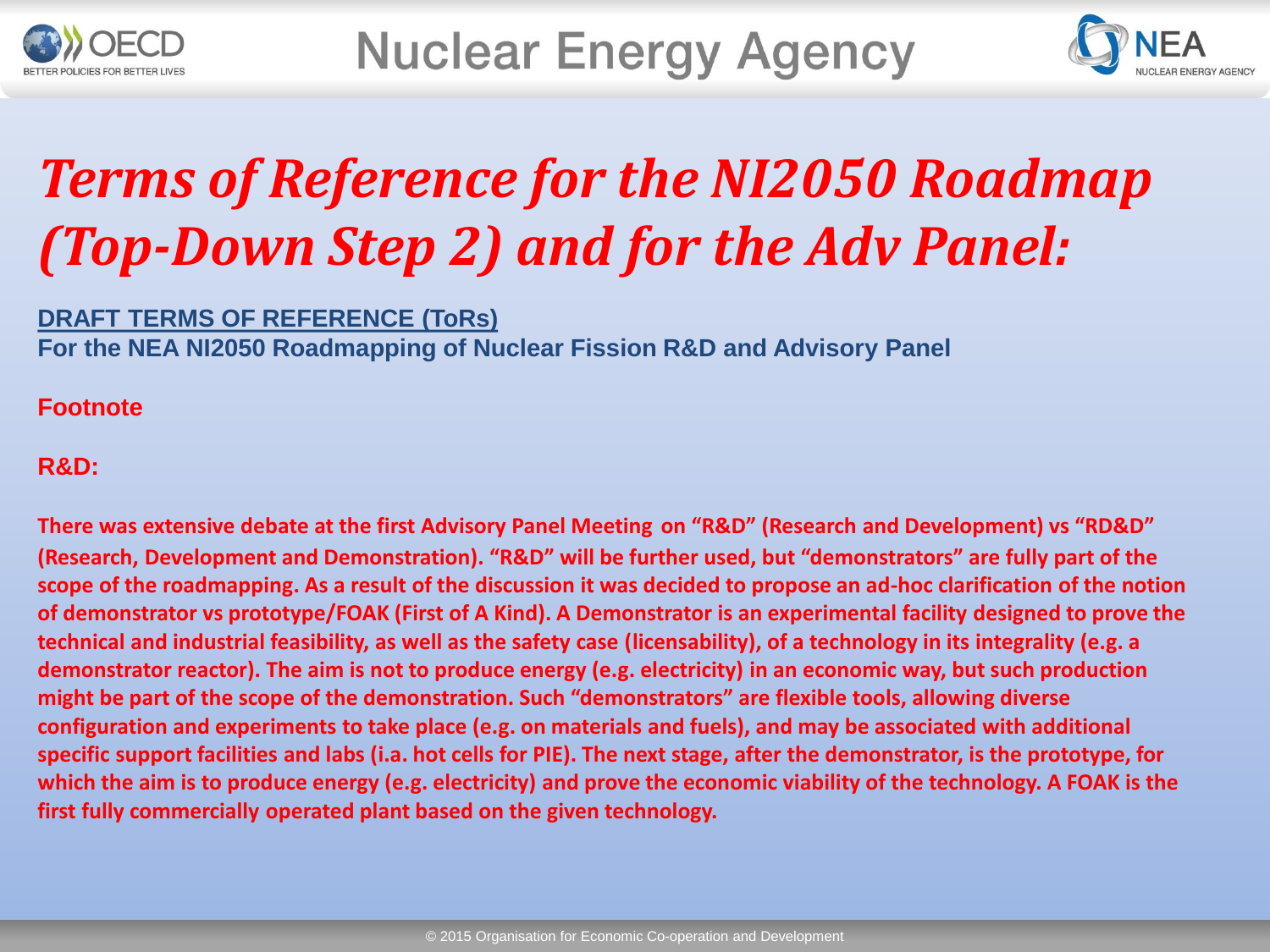



## *Terms of Reference for the NI2050 Roadmap (Top-Down Step 2) and for the Adv Panel:*

### **DRAFT TERMS OF REFERENCE (ToRs)**

**For the NEA NI2050 Roadmapping of Nuclear Fission R&D and Advisory Panel**

### **Footnote**

### **R&D:**

**There was extensive debate at the first Advisory Panel Meeting on "R&D" (Research and Development) vs "RD&D" (Research, Development and Demonstration). "R&D" will be further used, but "demonstrators" are fully part of the scope of the roadmapping. As a result of the discussion it was decided to propose an ad-hoc clarification of the notion of demonstrator vs prototype/FOAK (First of A Kind). A Demonstrator is an experimental facility designed to prove the technical and industrial feasibility, as well as the safety case (licensability), of a technology in its integrality (e.g. a demonstrator reactor). The aim is not to produce energy (e.g. electricity) in an economic way, but such production might be part of the scope of the demonstration. Such "demonstrators" are flexible tools, allowing diverse configuration and experiments to take place (e.g. on materials and fuels), and may be associated with additional specific support facilities and labs (i.a. hot cells for PIE). The next stage, after the demonstrator, is the prototype, for which the aim is to produce energy (e.g. electricity) and prove the economic viability of the technology. A FOAK is the first fully commercially operated plant based on the given technology.**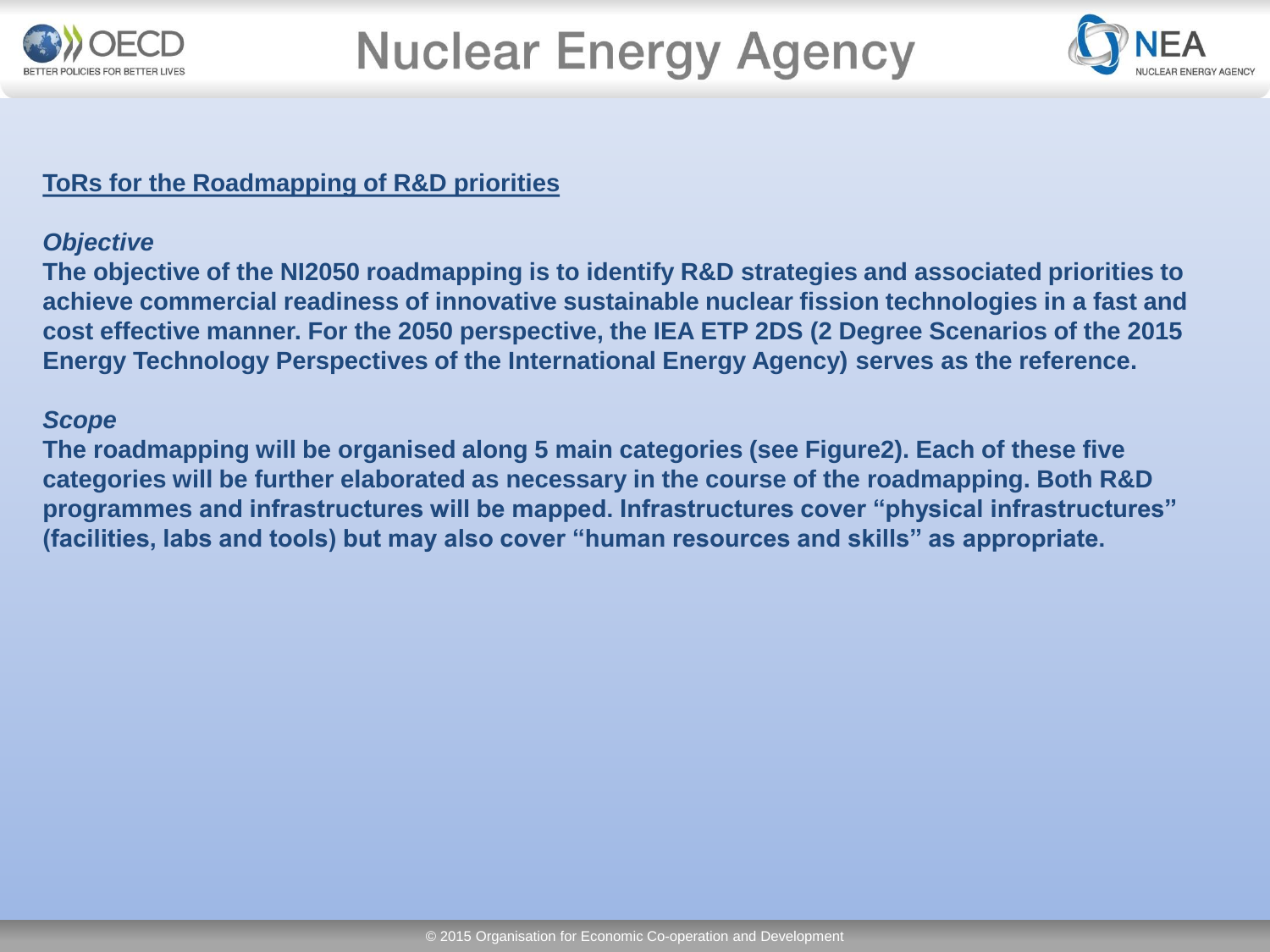



### **ToRs for the Roadmapping of R&D priorities**

#### *Objective*

**The objective of the NI2050 roadmapping is to identify R&D strategies and associated priorities to achieve commercial readiness of innovative sustainable nuclear fission technologies in a fast and cost effective manner. For the 2050 perspective, the IEA ETP 2DS (2 Degree Scenarios of the 2015 Energy Technology Perspectives of the International Energy Agency) serves as the reference.** 

#### *Scope*

**The roadmapping will be organised along 5 main categories (see Figure2). Each of these five categories will be further elaborated as necessary in the course of the roadmapping. Both R&D programmes and infrastructures will be mapped. Infrastructures cover "physical infrastructures" (facilities, labs and tools) but may also cover "human resources and skills" as appropriate.**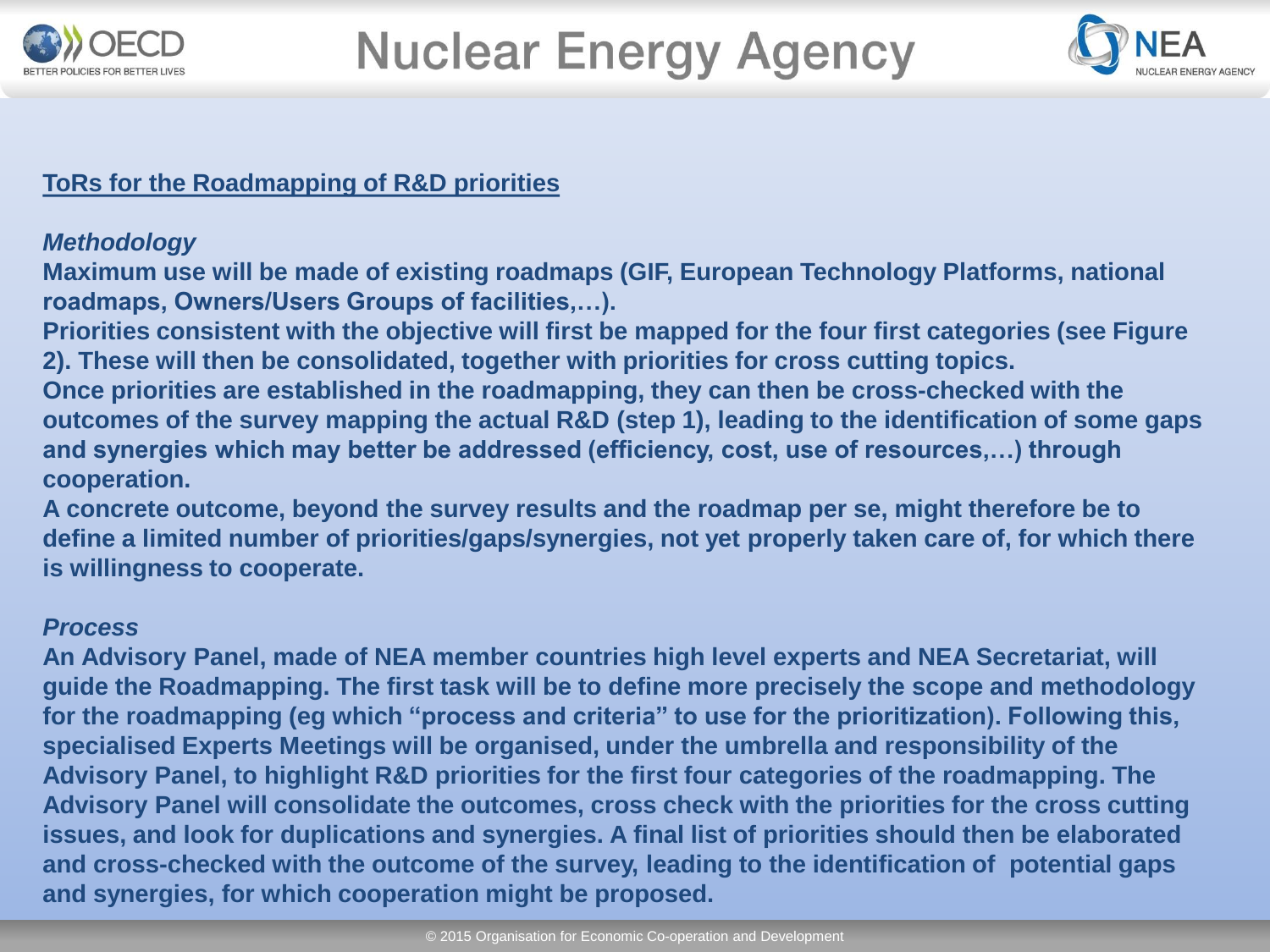



### **ToRs for the Roadmapping of R&D priorities**

### *Methodology*

**Maximum use will be made of existing roadmaps (GIF, European Technology Platforms, national roadmaps, Owners/Users Groups of facilities,…).** 

**Priorities consistent with the objective will first be mapped for the four first categories (see Figure 2). These will then be consolidated, together with priorities for cross cutting topics.** 

**Once priorities are established in the roadmapping, they can then be cross-checked with the outcomes of the survey mapping the actual R&D (step 1), leading to the identification of some gaps and synergies which may better be addressed (efficiency, cost, use of resources,…) through cooperation.** 

**A concrete outcome, beyond the survey results and the roadmap per se, might therefore be to define a limited number of priorities/gaps/synergies, not yet properly taken care of, for which there is willingness to cooperate.** 

### *Process*

**An Advisory Panel, made of NEA member countries high level experts and NEA Secretariat, will guide the Roadmapping. The first task will be to define more precisely the scope and methodology for the roadmapping (eg which "process and criteria" to use for the prioritization). Following this, specialised Experts Meetings will be organised, under the umbrella and responsibility of the Advisory Panel, to highlight R&D priorities for the first four categories of the roadmapping. The Advisory Panel will consolidate the outcomes, cross check with the priorities for the cross cutting issues, and look for duplications and synergies. A final list of priorities should then be elaborated and cross-checked with the outcome of the survey, leading to the identification of potential gaps and synergies, for which cooperation might be proposed.**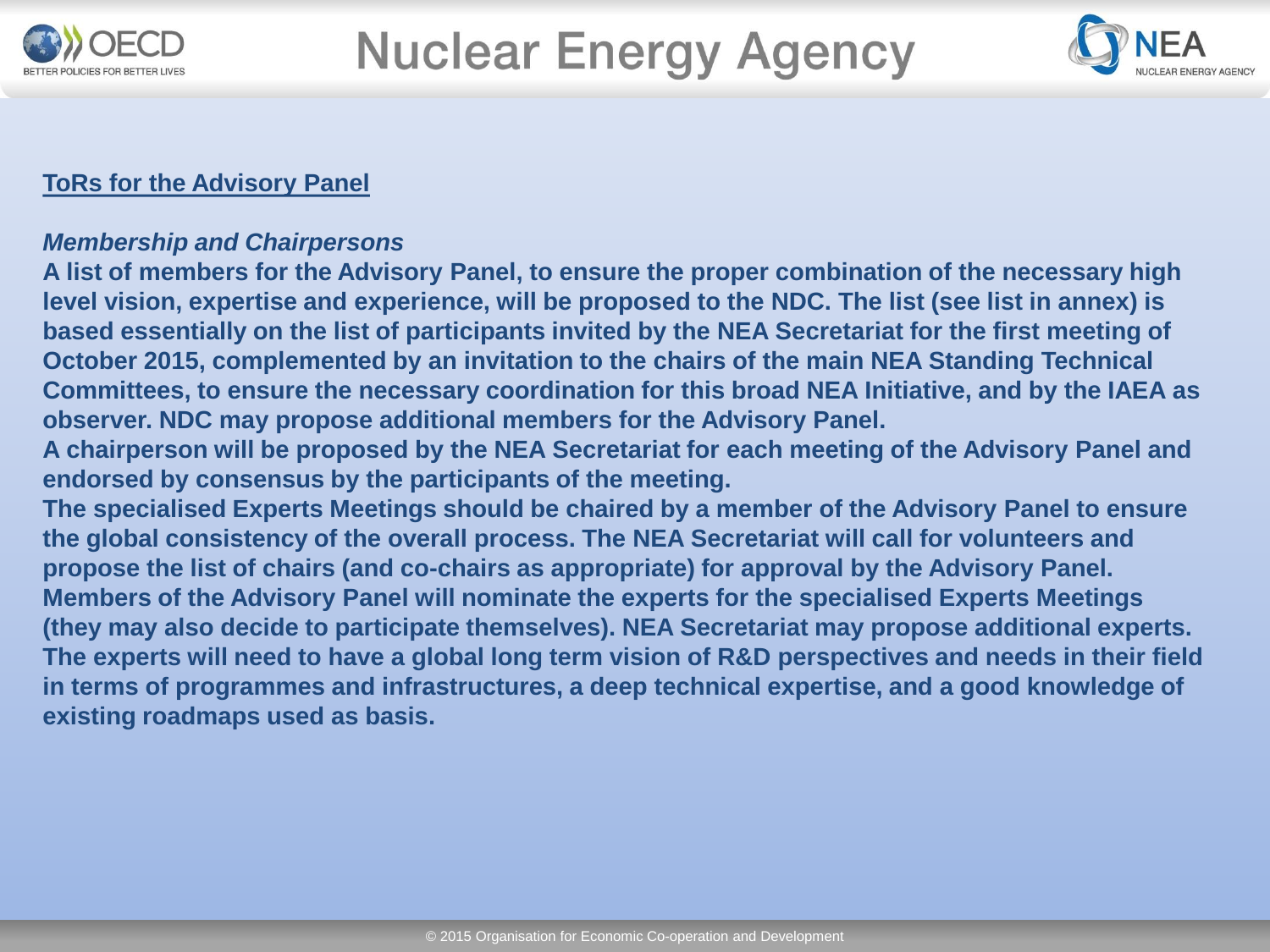



### **ToRs for the Advisory Panel**

### *Membership and Chairpersons*

**A list of members for the Advisory Panel, to ensure the proper combination of the necessary high level vision, expertise and experience, will be proposed to the NDC. The list (see list in annex) is based essentially on the list of participants invited by the NEA Secretariat for the first meeting of October 2015, complemented by an invitation to the chairs of the main NEA Standing Technical Committees, to ensure the necessary coordination for this broad NEA Initiative, and by the IAEA as observer. NDC may propose additional members for the Advisory Panel.** 

**A chairperson will be proposed by the NEA Secretariat for each meeting of the Advisory Panel and endorsed by consensus by the participants of the meeting.** 

**The specialised Experts Meetings should be chaired by a member of the Advisory Panel to ensure the global consistency of the overall process. The NEA Secretariat will call for volunteers and propose the list of chairs (and co-chairs as appropriate) for approval by the Advisory Panel. Members of the Advisory Panel will nominate the experts for the specialised Experts Meetings (they may also decide to participate themselves). NEA Secretariat may propose additional experts. The experts will need to have a global long term vision of R&D perspectives and needs in their field in terms of programmes and infrastructures, a deep technical expertise, and a good knowledge of existing roadmaps used as basis.**